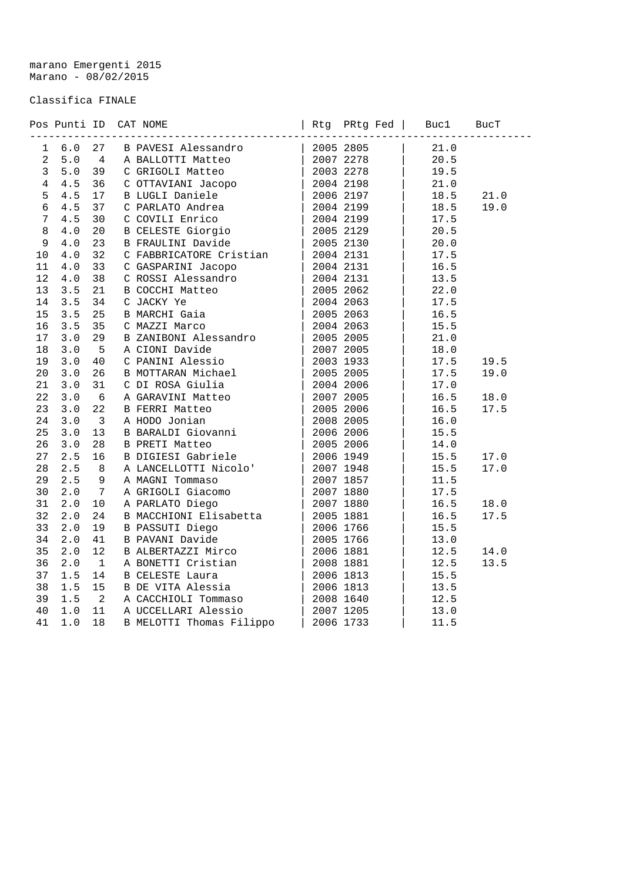marano Emergenti 2015 Marano - 08/02/2015

## Classifica FINALE

|                 |       |                          | Pos Punti ID CAT NOME                                                                                                            |                   | Rtg PRtg Fed | Buc1 | BucT |
|-----------------|-------|--------------------------|----------------------------------------------------------------------------------------------------------------------------------|-------------------|--------------|------|------|
|                 |       |                          | 1 6.0 27 B PAVESI Alessandro   2005 2805<br>2 5.0 4 A BALLOTTI Matteo   2007 2278<br>3 5.0 39 C GRIGOLI Matteo   2003 2278       |                   |              | 21.0 |      |
|                 |       |                          |                                                                                                                                  |                   |              | 20.5 |      |
|                 |       |                          |                                                                                                                                  |                   |              | 19.5 |      |
| 4               | 4.5   | 36                       | C OTTAVIANI Jacopo                                                                                                               |                   | 2004 2198    | 21.0 |      |
| 5               | 4.5   | 17                       | E UTIAVIANT CONTRACTOR                                                                                                           |                   | 2006 2197    | 18.5 | 21.0 |
| 6               | 4.5   | 37                       | C PARLATO Andrea                                                                                                                 |                   | 2004 2199    | 18.5 | 19.0 |
| $7\overline{ }$ | 4.5   | 30                       | C COVILI Enrico                                                                                                                  |                   | 2004 2199    | 17.5 |      |
| $\,8\,$         | $4.0$ | 20                       | B CELESTE Giorgio                                                                                                                |                   | 2005 2129    | 20.5 |      |
| 9               | 4.0   | 23                       | B FRAULINI Davide                                                                                                                |                   | 2005 2130    | 20.0 |      |
| 10              | 4.0   | 32                       | C FABBRICATORE Cristian   2004 2131<br>C FABBRICATORE Cristian<br>C GASPARINI Jacopo<br>C ROSSI Alessandro<br>C ROSSI Alessandro |                   |              | 17.5 |      |
| 11              | 4.0   | 33                       |                                                                                                                                  | 2004 2131         |              | 16.5 |      |
| 12              | 4.0   | 38                       |                                                                                                                                  |                   | 2004 2131    | 13.5 |      |
| 13              | 3.5   | 21                       |                                                                                                                                  |                   | 2005 2062    | 22.0 |      |
| 14              | 3.5   | 34                       | C JACKY Ye                                                                                                                       |                   | 2004 2063    | 17.5 |      |
| 15              | 3.5   | 25                       | <b>B MARCHI Gaia</b>                                                                                                             |                   | 2005 2063    | 16.5 |      |
| 16              | 3.5   | 35                       | C MAZZI Marco $ 20042063$<br>B ZANIBONI Alessandro $ 20052005$                                                                   |                   |              | 15.5 |      |
| 17              | 3.0   | 29                       |                                                                                                                                  |                   |              | 21.0 |      |
| 18              | 3.0   | $5^{\circ}$              | A CIONI Davide                                                                                                                   |                   | 2007 2005    | 18.0 |      |
| 19              | 3.0   | 40                       | C PANINI Alessio                                                                                                                 |                   | 2003 1933    | 17.5 | 19.5 |
| 20              | 3.0   | 26                       | B MOTTARAN Michael                                                                                                               |                   | 2005 2005    | 17.5 | 19.0 |
| 21              | 3.0   | 31                       | C DI ROSA Giulia                                                                                                                 |                   | 2004 2006    | 17.0 |      |
| 22              | 3.0   | $6\overline{6}$          | A GARAVINI Matteo                                                                                                                |                   | 2007 2005    | 16.5 | 18.0 |
| 23              | 3.0   | 22                       | B FERRI Matteo                                                                                                                   |                   | 2005 2006    | 16.5 | 17.5 |
| 24              | 3.0   | $\overline{\phantom{a}}$ | A HODO Jonian<br>A HODO Jonian<br>B BARALDI Giovanni                                                                             |                   | 2008 2005    | 16.0 |      |
| 25              | 3.0   | 13                       |                                                                                                                                  |                   | 2006 2006    | 15.5 |      |
| 26              | 3.0   | 28                       | <b>B PRETI Matteo</b>                                                                                                            |                   | 2005 2006    | 14.0 |      |
| 27              | 2.5   | 16                       | A LANCELLOTTI Nicolo'  <br>A LANCELLOTTI Nicolo'  <br>A MAGNI Tommaso                                                            |                   | 2006 1949    | 15.5 | 17.0 |
| 28              | 2.5   | 8 <sup>8</sup>           |                                                                                                                                  |                   | 2007 1948    | 15.5 | 17.0 |
| 29              | 2.5   | 9                        |                                                                                                                                  |                   | 2007 1857    | 11.5 |      |
| 30              | 2.0   | $7\overline{ }$          | A GRIGOLI Giacomo                                                                                                                |                   | 2007 1880    | 17.5 |      |
| 31              | 2.0   | 10                       | A PARLATO Diego $\begin{array}{ c c c c c }\n \hline\n B & MACCHIONI & Elisabethetta & 2005 1881\n \end{array}$                  |                   |              | 16.5 | 18.0 |
| 32              | 2.0   | 24                       |                                                                                                                                  |                   |              | 16.5 | 17.5 |
| 33              | 2.0   | 19                       | B PASSUTI Diego                                                                                                                  |                   | 2006 1766    | 15.5 |      |
| 34              | 2.0   | 41                       | B PAVANI Davide                                                                                                                  |                   | 2005 1766    | 13.0 |      |
| 35              | 2.0   | 12                       | B ALBERTAZZI Mirco                                                                                                               |                   | 2006 1881    | 12.5 | 14.0 |
| 36              | 2.0   | $\overline{1}$           | A BONETTI Cristian                                                                                                               |                   | 2008 1881    | 12.5 | 13.5 |
| 37              | 1.5   | 14                       | <b>B CELESTE Laura</b>                                                                                                           |                   | 2006 1813    | 15.5 |      |
| 38              | 1.5   | 15                       | B DE VITA Alessia                                                                                                                |                   | 2006 1813    | 13.5 |      |
| 39              | 1.5   | $\overline{\phantom{a}}$ | A CACCHIOLI Tommaso                                                                                                              | $\vert$ 2008 1640 |              | 12.5 |      |
| 40              | 1.0   | 11                       | A UCCELLARI Alessio                                                                                                              | 20071205          |              | 13.0 |      |
| 41              | 1.0   | 18                       | B MELOTTI Thomas Filippo   2006 1733                                                                                             |                   |              | 11.5 |      |